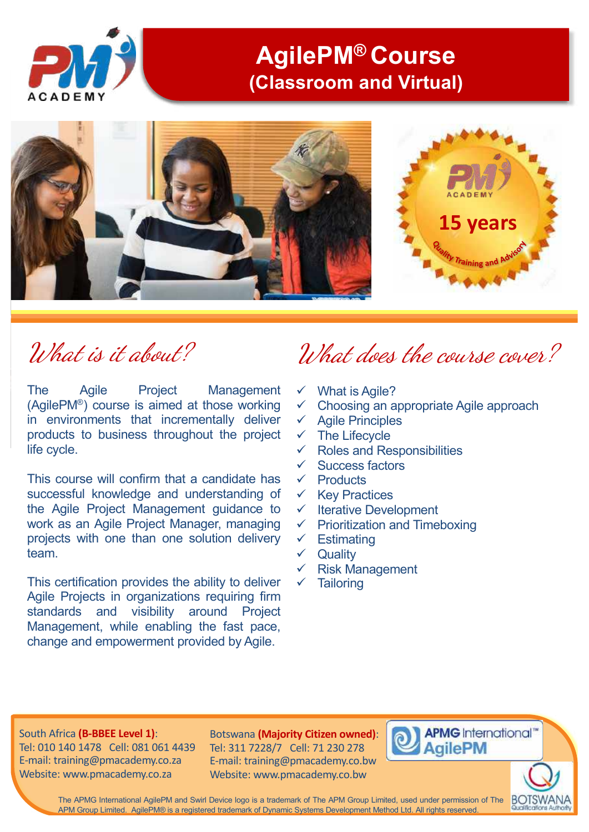

## **AgilePM® Course (Classroom and Virtual)**



# What is it about?

The Agile Project Management (AgilePM®) course is aimed at those working in environments that incrementally deliver products to business throughout the project life cycle.

This course will confirm that a candidate has successful knowledge and understanding of the Agile Project Management guidance to work as an Agile Project Manager, managing projects with one than one solution delivery team.

This certification provides the ability to deliver Agile Projects in organizations requiring firm standards and visibility around Project Management, while enabling the fast pace, change and empowerment provided by Agile.

# What does the course cover?

- $\checkmark$  What is Agile?
- $\checkmark$  Choosing an appropriate Agile approach
- $\checkmark$  Agile Principles
- $\checkmark$  The Lifecycle
- $\checkmark$  Roles and Responsibilities
- $\checkmark$  Success factors
- $\checkmark$  Products
- $\checkmark$  Key Practices
- $\checkmark$  Iterative Development
- $\checkmark$  Prioritization and Timeboxing
- $\checkmark$  Estimating
- $\checkmark$  Quality
- $\checkmark$  Risk Management
- **Tailoring**

#### South Africa **(B-BBEE Level 1)**:

Tel: 010 140 1478 Cell: 081 061 4439 E-mail: training@pmacademy.co.za Website: www.pmacademy.co.za

Botswana **(Majority Citizen owned)**: Tel: 311 7228/7 Cell: 71 230 278 E-mail: training@pmacademy.co.bw Website: www.pmacademy.co.bw



**BOTSWAN** 

The APMG International AgilePM and Swirl Device logo is a trademark of The APM Group Limited, used under permission of The APM Group Limited. AgilePM® is a registered trademark of Dynamic Systems Development Method Ltd. All rights reserved.